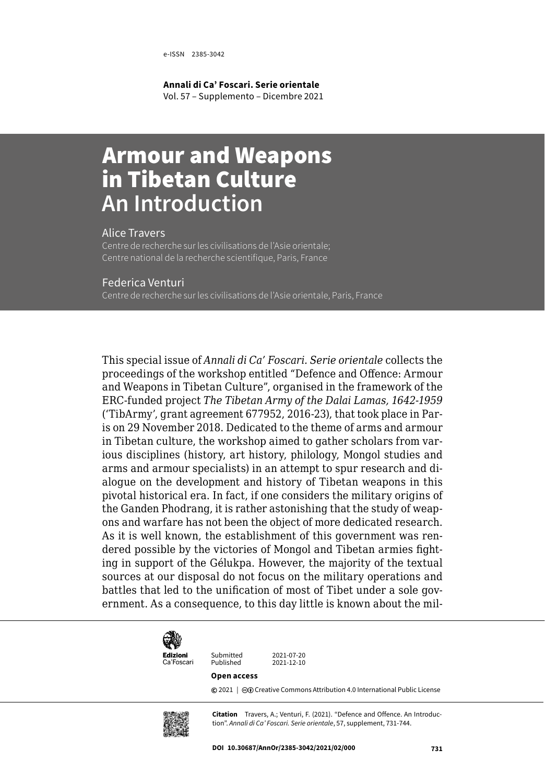**Annali di Ca' Foscari. Serie orientale** Vol. 57 – Supplemento – Dicembre 2021

# Armour and Weapons in Tibetan Culture **An Introduction**

### Alice Travers

Centre de recherche sur les civilisations de l'Asie orientale; Centre national de la recherche scientifique, Paris, France

#### Federica Venturi

Centre de recherche sur les civilisations de l'Asie orientale, Paris, France

This special issue of *Annali di Ca' Foscari. Serie orientale* collects the proceedings of the workshop entitled "Defence and Offence: Armour and Weapons in Tibetan Culture", organised in the framework of the ERC-funded project *The Tibetan Army of the Dalai Lamas, 1642-1959* ('TibArmy', grant agreement 677952, 2016-23), that took place in Paris on 29 November 2018. Dedicated to the theme of arms and armour in Tibetan culture, the workshop aimed to gather scholars from various disciplines (history, art history, philology, Mongol studies and arms and armour specialists) in an attempt to spur research and dialogue on the development and history of Tibetan weapons in this pivotal historical era. In fact, if one considers the military origins of the Ganden Phodrang, it is rather astonishing that the study of weapons and warfare has not been the object of more dedicated research. As it is well known, the establishment of this government was rendered possible by the victories of Mongol and Tibetan armies fighting in support of the Gélukpa. However, the majority of the textual sources at our disposal do not focus on the military operations and battles that led to the unification of most of Tibet under a sole government. As a consequence, to this day little is known about the mil-



Ca'Foscari

Submitted 2021-07-20<br>Published 2021-12-10

#### **Open access**

Published

**©** 2021 |  $@$  [Creative Commons Attribution 4.0 International Public License](https://creativecommons.org/licenses/by/4.0/)



**Citation** Travers, A.; Venturi, F. (2021). "Defence and Offence. An Introduction". *Annali di Ca' Foscari. Serie orientale*, 57, supplement, 731-744.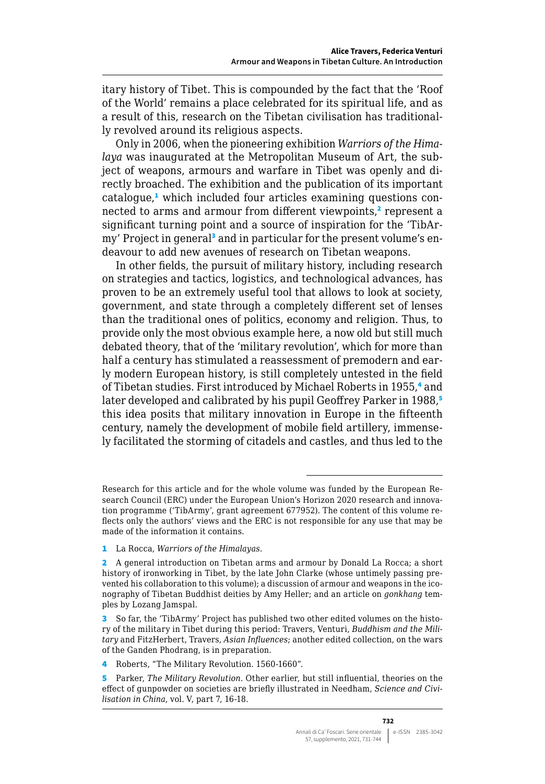itary history of Tibet. This is compounded by the fact that the 'Roof of the World' remains a place celebrated for its spiritual life, and as a result of this, research on the Tibetan civilisation has traditionally revolved around its religious aspects.

Only in 2006, when the pioneering exhibition *Warriors of the Himalaya* was inaugurated at the Metropolitan Museum of Art, the subject of weapons, armours and warfare in Tibet was openly and directly broached. The exhibition and the publication of its important catalogue,<sup>1</sup> which included four articles examining questions connected to arms and armour from different viewpoints,<sup>2</sup> represent a significant turning point and a source of inspiration for the 'TibArmy' Project in general<sup>3</sup> and in particular for the present volume's endeavour to add new avenues of research on Tibetan weapons.

In other fields, the pursuit of military history, including research on strategies and tactics, logistics, and technological advances, has proven to be an extremely useful tool that allows to look at society, government, and state through a completely different set of lenses than the traditional ones of politics, economy and religion. Thus, to provide only the most obvious example here, a now old but still much debated theory, that of the 'military revolution', which for more than half a century has stimulated a reassessment of premodern and early modern European history, is still completely untested in the field of Tibetan studies. First introduced by Michael Roberts in 1955,4 and later developed and calibrated by his pupil Geoffrey Parker in 1988,<sup>5</sup> this idea posits that military innovation in Europe in the fifteenth century, namely the development of mobile field artillery, immensely facilitated the storming of citadels and castles, and thus led to the

1 La Rocca, *Warriors of the Himalayas*.

Research for this article and for the whole volume was funded by the European Research Council (ERC) under the European Union's Horizon 2020 research and innovation programme ('TibArmy', grant agreement 677952). The content of this volume reflects only the authors' views and the ERC is not responsible for any use that may be made of the information it contains.

<sup>2</sup> A general introduction on Tibetan arms and armour by Donald La Rocca; a short history of ironworking in Tibet, by the late John Clarke (whose untimely passing prevented his collaboration to this volume); a discussion of armour and weapons in the iconography of Tibetan Buddhist deities by Amy Heller; and an article on *gonkhang* temples by Lozang Jamspal.

<sup>3</sup> So far, the 'TibArmy' Project has published two other edited volumes on the history of the military in Tibet during this period: Travers, Venturi, *Buddhism and the Military* and FitzHerbert, Travers, *Asian Influences*; another edited collection, on the wars of the Ganden Phodrang, is in preparation.

<sup>4</sup> Roberts, "The Military Revolution. 1560-1660".

<sup>5</sup> Parker, *The Military Revolution*. Other earlier, but still influential, theories on the effect of gunpowder on societies are briefly illustrated in Needham, *Science and Civilisation in China*, vol. V, part 7, 16-18.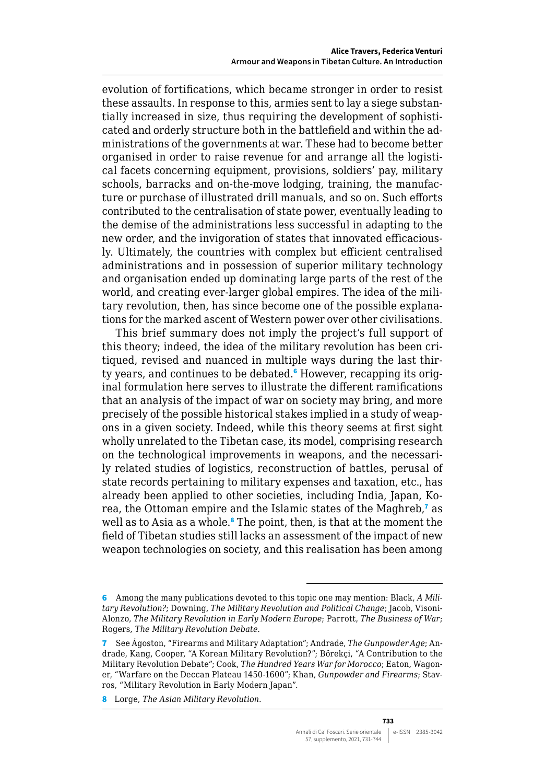evolution of fortifications, which became stronger in order to resist these assaults. In response to this, armies sent to lay a siege substantially increased in size, thus requiring the development of sophisticated and orderly structure both in the battlefield and within the administrations of the governments at war. These had to become better organised in order to raise revenue for and arrange all the logistical facets concerning equipment, provisions, soldiers' pay, military schools, barracks and on-the-move lodging, training, the manufacture or purchase of illustrated drill manuals, and so on. Such efforts contributed to the centralisation of state power, eventually leading to the demise of the administrations less successful in adapting to the new order, and the invigoration of states that innovated efficaciously. Ultimately, the countries with complex but efficient centralised administrations and in possession of superior military technology and organisation ended up dominating large parts of the rest of the world, and creating ever-larger global empires. The idea of the military revolution, then, has since become one of the possible explanations for the marked ascent of Western power over other civilisations.

This brief summary does not imply the project's full support of this theory; indeed, the idea of the military revolution has been critiqued, revised and nuanced in multiple ways during the last thirty years, and continues to be debated.<sup>6</sup> However, recapping its original formulation here serves to illustrate the different ramifications that an analysis of the impact of war on society may bring, and more precisely of the possible historical stakes implied in a study of weapons in a given society. Indeed, while this theory seems at first sight wholly unrelated to the Tibetan case, its model, comprising research on the technological improvements in weapons, and the necessarily related studies of logistics, reconstruction of battles, perusal of state records pertaining to military expenses and taxation, etc., has already been applied to other societies, including India, Japan, Korea, the Ottoman empire and the Islamic states of the Maghreb,<sup>7</sup> as well as to Asia as a whole.<sup>8</sup> The point, then, is that at the moment the field of Tibetan studies still lacks an assessment of the impact of new weapon technologies on society, and this realisation has been among

<sup>6</sup> Among the many publications devoted to this topic one may mention: Black, *A Military Revolution?*; Downing, *The Military Revolution and Political Change*; Jacob, Visoni-Alonzo, *The Military Revolution in Early Modern Europe*; Parrott, *The Business of War*; Rogers, *The Military Revolution Debate*.

<sup>7</sup> See Ágoston, "Firearms and Military Adaptation"; Andrade, *The Gunpowder Age*; Andrade, Kang, Cooper, "A Korean Military Revolution?"; Börekçi, "A Contribution to the Military Revolution Debate"; Cook, *The Hundred Years War for Morocco*; Eaton, Wagoner, "Warfare on the Deccan Plateau 1450-1600"; Khan, *Gunpowder and Firearms*; Stavros, "Military Revolution in Early Modern Japan".

<sup>8</sup> Lorge, *The Asian Military Revolution*.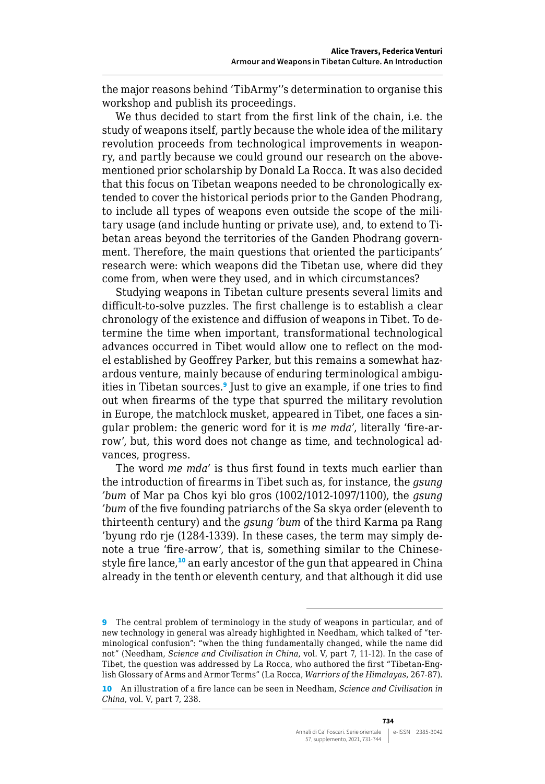the major reasons behind 'TibArmy''s determination to organise this workshop and publish its proceedings.

We thus decided to start from the first link of the chain, i.e. the study of weapons itself, partly because the whole idea of the military revolution proceeds from technological improvements in weaponry, and partly because we could ground our research on the abovementioned prior scholarship by Donald La Rocca. It was also decided that this focus on Tibetan weapons needed to be chronologically extended to cover the historical periods prior to the Ganden Phodrang, to include all types of weapons even outside the scope of the military usage (and include hunting or private use), and, to extend to Tibetan areas beyond the territories of the Ganden Phodrang government. Therefore, the main questions that oriented the participants' research were: which weapons did the Tibetan use, where did they come from, when were they used, and in which circumstances?

Studying weapons in Tibetan culture presents several limits and difficult-to-solve puzzles. The first challenge is to establish a clear chronology of the existence and diffusion of weapons in Tibet. To determine the time when important, transformational technological advances occurred in Tibet would allow one to reflect on the model established by Geoffrey Parker, but this remains a somewhat hazardous venture, mainly because of enduring terminological ambiguities in Tibetan sources.<sup>9</sup> Just to give an example, if one tries to find out when firearms of the type that spurred the military revolution in Europe, the matchlock musket, appeared in Tibet, one faces a singular problem: the generic word for it is *me mda'*, literally 'fire-arrow', but, this word does not change as time, and technological advances, progress.

The word *me mda'* is thus first found in texts much earlier than the introduction of firearms in Tibet such as, for instance, the *gsung 'bum* of Mar pa Chos kyi blo gros (1002/1012-1097/1100), the *gsung 'bum* of the five founding patriarchs of the Sa skya order (eleventh to thirteenth century) and the *gsung 'bum* of the third Karma pa Rang 'byung rdo rje (1284-1339). In these cases, the term may simply denote a true 'fire-arrow', that is, something similar to the Chinesestyle fire lance,<sup>10</sup> an early ancestor of the gun that appeared in China already in the tenth or eleventh century, and that although it did use

<sup>9</sup> The central problem of terminology in the study of weapons in particular, and of new technology in general was already highlighted in Needham, which talked of "terminological confusion": "when the thing fundamentally changed, while the name did not" (Needham, *Science and Civilisation in China*, vol. V, part 7, 11-12). In the case of Tibet, the question was addressed by La Rocca, who authored the first "Tibetan-English Glossary of Arms and Armor Terms" (La Rocca, *Warriors of the Himalayas*, 267-87).

<sup>10</sup> An illustration of a fire lance can be seen in Needham, *Science and Civilisation in China*, vol. V, part 7, 238.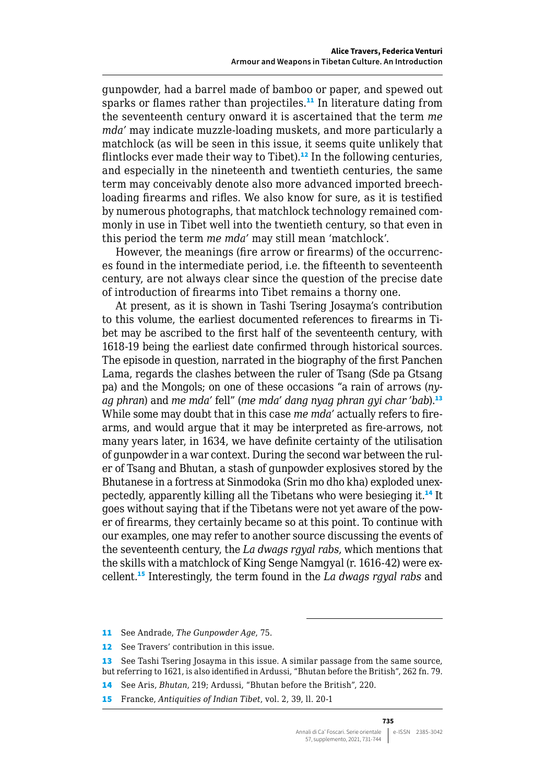gunpowder, had a barrel made of bamboo or paper, and spewed out sparks or flames rather than projectiles.<sup>11</sup> In literature dating from the seventeenth century onward it is ascertained that the term *me mda'* may indicate muzzle-loading muskets, and more particularly a matchlock (as will be seen in this issue, it seems quite unlikely that flintlocks ever made their way to Tibet).<sup>12</sup> In the following centuries, and especially in the nineteenth and twentieth centuries, the same term may conceivably denote also more advanced imported breechloading firearms and rifles. We also know for sure, as it is testified by numerous photographs, that matchlock technology remained commonly in use in Tibet well into the twentieth century, so that even in this period the term *me mda'* may still mean 'matchlock'.

However, the meanings (fire arrow or firearms) of the occurrences found in the intermediate period, i.e. the fifteenth to seventeenth century, are not always clear since the question of the precise date of introduction of firearms into Tibet remains a thorny one.

At present, as it is shown in Tashi Tsering Josayma's contribution to this volume, the earliest documented references to firearms in Tibet may be ascribed to the first half of the seventeenth century, with 1618-19 being the earliest date confirmed through historical sources. The episode in question, narrated in the biography of the first Panchen Lama, regards the clashes between the ruler of Tsang (Sde pa Gtsang pa) and the Mongols; on one of these occasions "a rain of arrows (*nyag phran*) and *me mda'* fell" (*me mda' dang nyag phran gyi char 'bab*).<sup>13</sup> While some may doubt that in this case *me mda'* actually refers to firearms, and would argue that it may be interpreted as fire-arrows, not many years later, in 1634, we have definite certainty of the utilisation of gunpowder in a war context. During the second war between the ruler of Tsang and Bhutan, a stash of gunpowder explosives stored by the Bhutanese in a fortress at Sinmodoka (Srin mo dho kha) exploded unexpectedly, apparently killing all the Tibetans who were besieging it.<sup>14</sup> It goes without saying that if the Tibetans were not yet aware of the power of firearms, they certainly became so at this point. To continue with our examples, one may refer to another source discussing the events of the seventeenth century, the *La dwags rgyal rabs*, which mentions that the skills with a matchlock of King Senge Namgyal (r. 1616-42) were excellent.<sup>15</sup> Interestingly, the term found in the *La dwags rgyal rabs* and

- 14 See Aris, *Bhutan*, 219; Ardussi, "Bhutan before the British", 220.
- 15 Francke, *Antiquities of Indian Tibet*, vol. 2, 39, ll. 20-1

<sup>11</sup> See Andrade, *The Gunpowder Age*, 75.

<sup>12</sup> See Travers' contribution in this issue.

<sup>13</sup> See Tashi Tsering Josayma in this issue. A similar passage from the same source, but referring to 1621, is also identified in Ardussi, "Bhutan before the British", 262 fn. 79.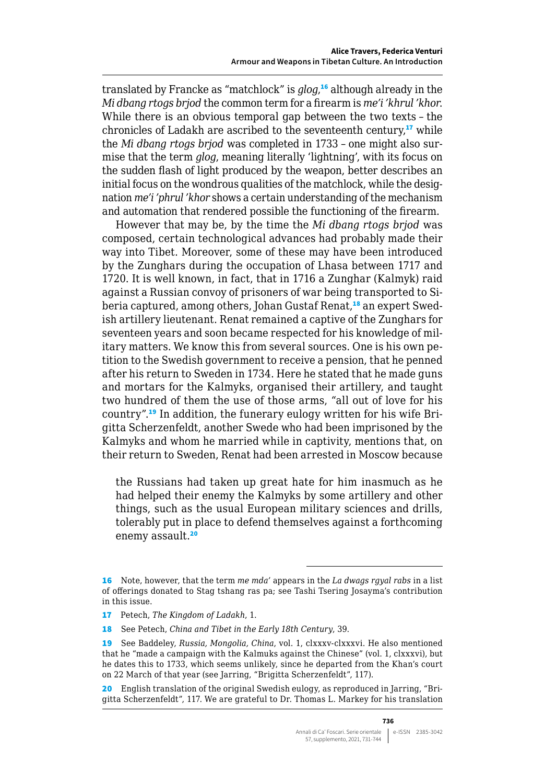translated by Francke as "matchlock" is *glog*, <sup>16</sup> although already in the *Mi dbang rtogs brjod* the common term for a firearm is *me'i 'khrul 'khor*. While there is an obvious temporal gap between the two texts – the chronicles of Ladakh are ascribed to the seventeenth century, $17$  while the *Mi dbang rtogs brjod* was completed in 1733 – one might also surmise that the term *glog*, meaning literally 'lightning', with its focus on the sudden flash of light produced by the weapon, better describes an initial focus on the wondrous qualities of the matchlock, while the designation *me'i 'phrul 'khor* shows a certain understanding of the mechanism and automation that rendered possible the functioning of the firearm.

However that may be, by the time the *Mi dbang rtogs brjod* was composed, certain technological advances had probably made their way into Tibet. Moreover, some of these may have been introduced by the Zunghars during the occupation of Lhasa between 1717 and 1720. It is well known, in fact, that in 1716 a Zunghar (Kalmyk) raid against a Russian convoy of prisoners of war being transported to Siberia captured, among others, Johan Gustaf Renat,<sup>18</sup> an expert Swedish artillery lieutenant. Renat remained a captive of the Zunghars for seventeen years and soon became respected for his knowledge of military matters. We know this from several sources. One is his own petition to the Swedish government to receive a pension, that he penned after his return to Sweden in 1734. Here he stated that he made guns and mortars for the Kalmyks, organised their artillery, and taught two hundred of them the use of those arms, "all out of love for his country".19 In addition, the funerary eulogy written for his wife Brigitta Scherzenfeldt, another Swede who had been imprisoned by the Kalmyks and whom he married while in captivity, mentions that, on their return to Sweden, Renat had been arrested in Moscow because

the Russians had taken up great hate for him inasmuch as he had helped their enemy the Kalmyks by some artillery and other things, such as the usual European military sciences and drills, tolerably put in place to defend themselves against a forthcoming enemy assault.<sup>20</sup>

<sup>16</sup> Note, however, that the term *me mda'* appears in the *La dwags rgyal rabs* in a list of offerings donated to Stag tshang ras pa; see Tashi Tsering Josayma's contribution in this issue.

<sup>17</sup> Petech, *The Kingdom of Ladakh*, 1.

<sup>18</sup> See Petech, *China and Tibet in the Early 18th Century*, 39.

<sup>19</sup> See Baddeley, *Russia, Mongolia, China*, vol. 1, clxxxv-clxxxvi. He also mentioned that he "made a campaign with the Kalmuks against the Chinese" (vol. 1, clxxxvi), but he dates this to 1733, which seems unlikely, since he departed from the Khan's court on 22 March of that year (see Jarring, "Brigitta Scherzenfeldt", 117).

<sup>20</sup> English translation of the original Swedish eulogy, as reproduced in Jarring, "Brigitta Scherzenfeldt", 117. We are grateful to Dr. Thomas L. Markey for his translation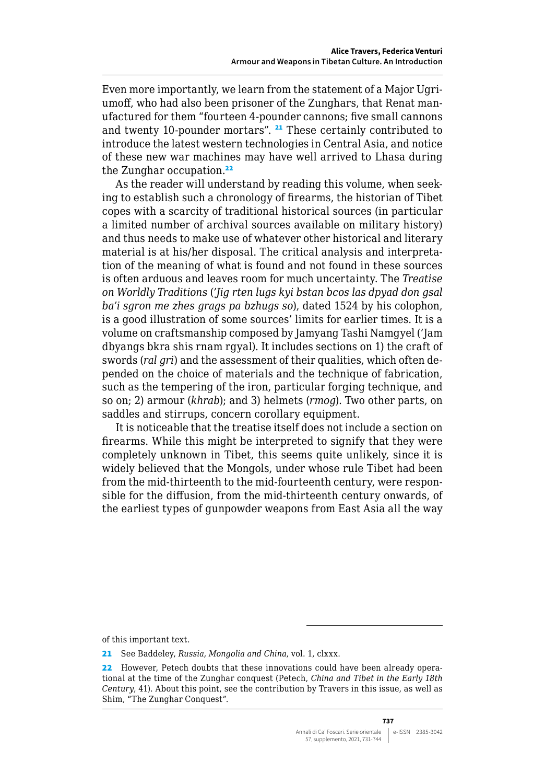Even more importantly, we learn from the statement of a Major Ugriumoff, who had also been prisoner of the Zunghars, that Renat manufactured for them "fourteen 4-pounder cannons; five small cannons and twenty 10-pounder mortars". <sup>21</sup> These certainly contributed to introduce the latest western technologies in Central Asia, and notice of these new war machines may have well arrived to Lhasa during the Zunghar occupation.<sup>22</sup>

As the reader will understand by reading this volume, when seeking to establish such a chronology of firearms, the historian of Tibet copes with a scarcity of traditional historical sources (in particular a limited number of archival sources available on military history) and thus needs to make use of whatever other historical and literary material is at his/her disposal. The critical analysis and interpretation of the meaning of what is found and not found in these sources is often arduous and leaves room for much uncertainty. The *Treatise on Worldly Traditions* (*'Jig rten lugs kyi bstan bcos las dpyad don gsal ba'i sgron me zhes grags pa bzhugs so*), dated 1524 by his colophon, is a good illustration of some sources' limits for earlier times. It is a volume on craftsmanship composed by Jamyang Tashi Namgyel ('Jam dbyangs bkra shis rnam rgyal). It includes sections on 1) the craft of swords (*ral gri*) and the assessment of their qualities, which often depended on the choice of materials and the technique of fabrication, such as the tempering of the iron, particular forging technique, and so on; 2) armour (*khrab*); and 3) helmets (*rmog*). Two other parts, on saddles and stirrups, concern corollary equipment.

It is noticeable that the treatise itself does not include a section on firearms. While this might be interpreted to signify that they were completely unknown in Tibet, this seems quite unlikely, since it is widely believed that the Mongols, under whose rule Tibet had been from the mid-thirteenth to the mid-fourteenth century, were responsible for the diffusion, from the mid-thirteenth century onwards, of the earliest types of gunpowder weapons from East Asia all the way

of this important text.

<sup>21</sup> See Baddeley, *Russia, Mongolia and China*, vol. 1, clxxx.

<sup>22</sup> However, Petech doubts that these innovations could have been already operational at the time of the Zunghar conquest (Petech, *China and Tibet in the Early 18th Century*, 41). About this point, see the contribution by Travers in this issue, as well as Shim, "The Zunghar Conquest".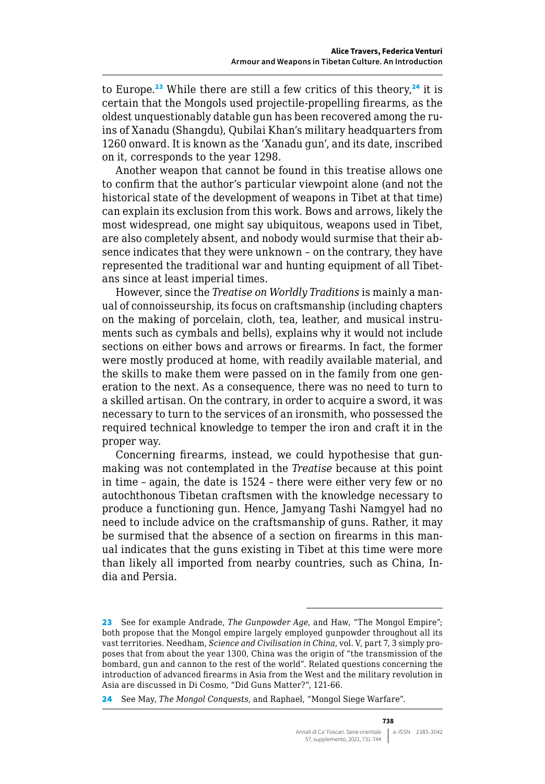to Europe.<sup>23</sup> While there are still a few critics of this theory,<sup>24</sup> it is certain that the Mongols used projectile-propelling firearms, as the oldest unquestionably datable gun has been recovered among the ruins of Xanadu (Shangdu), Qubilai Khan's military headquarters from 1260 onward. It is known as the 'Xanadu gun', and its date, inscribed on it, corresponds to the year 1298.

Another weapon that cannot be found in this treatise allows one to confirm that the author's particular viewpoint alone (and not the historical state of the development of weapons in Tibet at that time) can explain its exclusion from this work. Bows and arrows, likely the most widespread, one might say ubiquitous, weapons used in Tibet, are also completely absent, and nobody would surmise that their absence indicates that they were unknown – on the contrary, they have represented the traditional war and hunting equipment of all Tibetans since at least imperial times.

However, since the *Treatise on Worldly Traditions* is mainly a manual of connoisseurship, its focus on craftsmanship (including chapters on the making of porcelain, cloth, tea, leather, and musical instruments such as cymbals and bells), explains why it would not include sections on either bows and arrows or firearms. In fact, the former were mostly produced at home, with readily available material, and the skills to make them were passed on in the family from one generation to the next. As a consequence, there was no need to turn to a skilled artisan. On the contrary, in order to acquire a sword, it was necessary to turn to the services of an ironsmith, who possessed the required technical knowledge to temper the iron and craft it in the proper way.

Concerning firearms, instead, we could hypothesise that gunmaking was not contemplated in the *Treatise* because at this point in time – again, the date is 1524 – there were either very few or no autochthonous Tibetan craftsmen with the knowledge necessary to produce a functioning gun. Hence, Jamyang Tashi Namgyel had no need to include advice on the craftsmanship of guns. Rather, it may be surmised that the absence of a section on firearms in this manual indicates that the guns existing in Tibet at this time were more than likely all imported from nearby countries, such as China, India and Persia.

<sup>23</sup> See for example Andrade, *The Gunpowder Age*, and Haw, "The Mongol Empire"; both propose that the Mongol empire largely employed gunpowder throughout all its vast territories. Needham, *Science and Civilisation in China*, vol. V, part 7, 3 simply proposes that from about the year 1300, China was the origin of "the transmission of the bombard, gun and cannon to the rest of the world". Related questions concerning the introduction of advanced firearms in Asia from the West and the military revolution in Asia are discussed in Di Cosmo, "Did Guns Matter?", 121-66.

<sup>24</sup> See May, *The Mongol Conquests*, and Raphael, "Mongol Siege Warfare".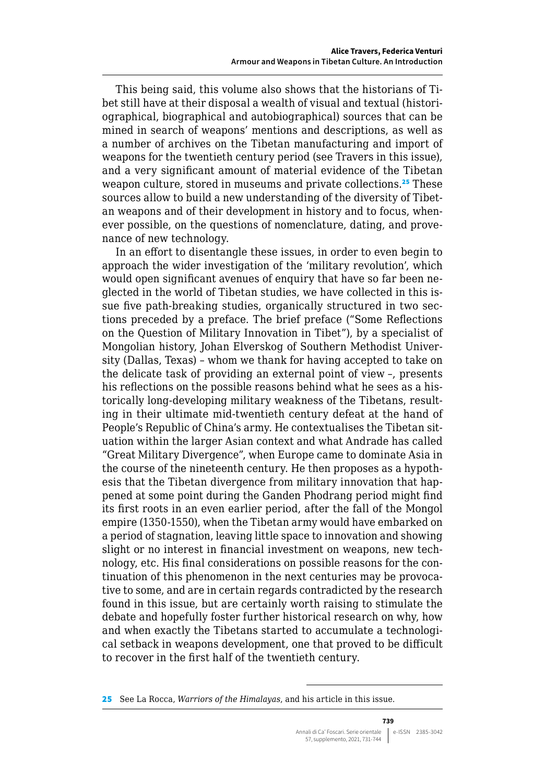This being said, this volume also shows that the historians of Tibet still have at their disposal a wealth of visual and textual (historiographical, biographical and autobiographical) sources that can be mined in search of weapons' mentions and descriptions, as well as a number of archives on the Tibetan manufacturing and import of weapons for the twentieth century period (see Travers in this issue), and a very significant amount of material evidence of the Tibetan weapon culture, stored in museums and private collections.<sup>25</sup> These sources allow to build a new understanding of the diversity of Tibetan weapons and of their development in history and to focus, whenever possible, on the questions of nomenclature, dating, and provenance of new technology.

In an effort to disentangle these issues, in order to even begin to approach the wider investigation of the 'military revolution', which would open significant avenues of enquiry that have so far been neglected in the world of Tibetan studies, we have collected in this issue five path-breaking studies, organically structured in two sections preceded by a preface. The brief preface ("Some Reflections on the Question of Military Innovation in Tibet"), by a specialist of Mongolian history, Johan Elverskog of Southern Methodist University (Dallas, Texas) – whom we thank for having accepted to take on the delicate task of providing an external point of view –, presents his reflections on the possible reasons behind what he sees as a historically long-developing military weakness of the Tibetans, resulting in their ultimate mid-twentieth century defeat at the hand of People's Republic of China's army. He contextualises the Tibetan situation within the larger Asian context and what Andrade has called "Great Military Divergence", when Europe came to dominate Asia in the course of the nineteenth century. He then proposes as a hypothesis that the Tibetan divergence from military innovation that happened at some point during the Ganden Phodrang period might find its first roots in an even earlier period, after the fall of the Mongol empire (1350-1550), when the Tibetan army would have embarked on a period of stagnation, leaving little space to innovation and showing slight or no interest in financial investment on weapons, new technology, etc. His final considerations on possible reasons for the continuation of this phenomenon in the next centuries may be provocative to some, and are in certain regards contradicted by the research found in this issue, but are certainly worth raising to stimulate the debate and hopefully foster further historical research on why, how and when exactly the Tibetans started to accumulate a technological setback in weapons development, one that proved to be difficult to recover in the first half of the twentieth century.

**739**

<sup>25</sup> See La Rocca, *Warriors of the Himalayas*, and his article in this issue.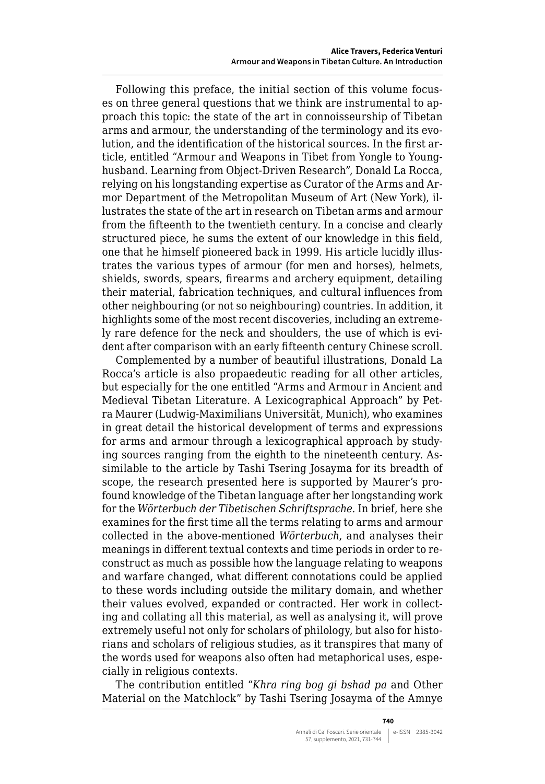Following this preface, the initial section of this volume focuses on three general questions that we think are instrumental to approach this topic: the state of the art in connoisseurship of Tibetan arms and armour, the understanding of the terminology and its evolution, and the identification of the historical sources. In the first article, entitled "Armour and Weapons in Tibet from Yongle to Younghusband. Learning from Object-Driven Research", Donald La Rocca, relying on his longstanding expertise as Curator of the Arms and Armor Department of the Metropolitan Museum of Art (New York), illustrates the state of the art in research on Tibetan arms and armour from the fifteenth to the twentieth century. In a concise and clearly structured piece, he sums the extent of our knowledge in this field, one that he himself pioneered back in 1999. His article lucidly illustrates the various types of armour (for men and horses), helmets, shields, swords, spears, firearms and archery equipment, detailing their material, fabrication techniques, and cultural influences from other neighbouring (or not so neighbouring) countries. In addition, it highlights some of the most recent discoveries, including an extremely rare defence for the neck and shoulders, the use of which is evident after comparison with an early fifteenth century Chinese scroll.

Complemented by a number of beautiful illustrations, Donald La Rocca's article is also propaedeutic reading for all other articles, but especially for the one entitled "Arms and Armour in Ancient and Medieval Tibetan Literature. A Lexicographical Approach" by Petra Maurer (Ludwig-Maximilians Universität, Munich), who examines in great detail the historical development of terms and expressions for arms and armour through a lexicographical approach by studying sources ranging from the eighth to the nineteenth century. Assimilable to the article by Tashi Tsering Josayma for its breadth of scope, the research presented here is supported by Maurer's profound knowledge of the Tibetan language after her longstanding work for the *Wörterbuch der Tibetischen Schriftsprache*. In brief, here she examines for the first time all the terms relating to arms and armour collected in the above-mentioned *Wörterbuch*, and analyses their meanings in different textual contexts and time periods in order to reconstruct as much as possible how the language relating to weapons and warfare changed, what different connotations could be applied to these words including outside the military domain, and whether their values evolved, expanded or contracted. Her work in collecting and collating all this material, as well as analysing it, will prove extremely useful not only for scholars of philology, but also for historians and scholars of religious studies, as it transpires that many of the words used for weapons also often had metaphorical uses, especially in religious contexts.

The contribution entitled "*Khra ring bog gi bshad pa* and Other Material on the Matchlock" by Tashi Tsering Josayma of the Amnye

**740**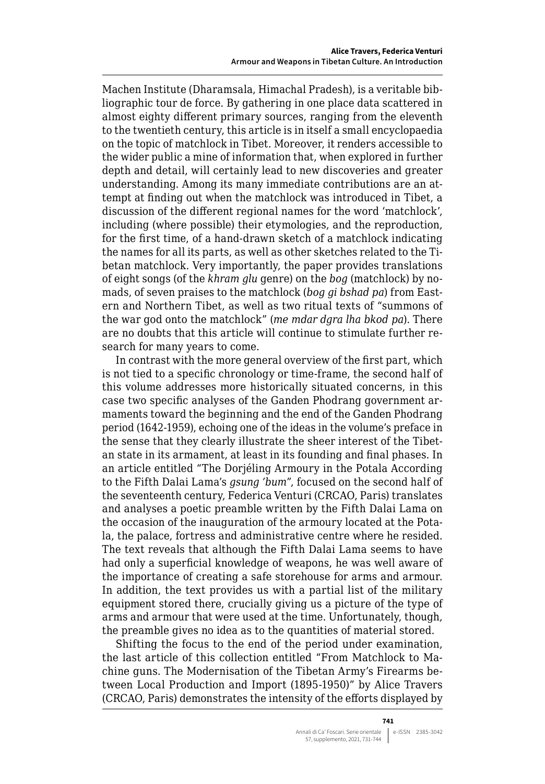Machen Institute (Dharamsala, Himachal Pradesh), is a veritable bibliographic tour de force. By gathering in one place data scattered in almost eighty different primary sources, ranging from the eleventh to the twentieth century, this article is in itself a small encyclopaedia on the topic of matchlock in Tibet. Moreover, it renders accessible to the wider public a mine of information that, when explored in further depth and detail, will certainly lead to new discoveries and greater understanding. Among its many immediate contributions are an attempt at finding out when the matchlock was introduced in Tibet, a discussion of the different regional names for the word 'matchlock', including (where possible) their etymologies, and the reproduction, for the first time, of a hand-drawn sketch of a matchlock indicating the names for all its parts, as well as other sketches related to the Tibetan matchlock. Very importantly, the paper provides translations of eight songs (of the *khram glu* genre) on the *bog* (matchlock) by nomads, of seven praises to the matchlock (*bog gi bshad pa*) from Eastern and Northern Tibet, as well as two ritual texts of "summons of the war god onto the matchlock" (*me mdar dgra lha bkod pa*). There are no doubts that this article will continue to stimulate further research for many years to come.

In contrast with the more general overview of the first part, which is not tied to a specific chronology or time-frame, the second half of this volume addresses more historically situated concerns, in this case two specific analyses of the Ganden Phodrang government armaments toward the beginning and the end of the Ganden Phodrang period (1642-1959), echoing one of the ideas in the volume's preface in the sense that they clearly illustrate the sheer interest of the Tibetan state in its armament, at least in its founding and final phases. In an article entitled "The Dorjéling Armoury in the Potala According to the Fifth Dalai Lama's *gsung 'bum*", focused on the second half of the seventeenth century, Federica Venturi (CRCAO, Paris) translates and analyses a poetic preamble written by the Fifth Dalai Lama on the occasion of the inauguration of the armoury located at the Potala, the palace, fortress and administrative centre where he resided. The text reveals that although the Fifth Dalai Lama seems to have had only a superficial knowledge of weapons, he was well aware of the importance of creating a safe storehouse for arms and armour. In addition, the text provides us with a partial list of the military equipment stored there, crucially giving us a picture of the type of arms and armour that were used at the time. Unfortunately, though, the preamble gives no idea as to the quantities of material stored.

Shifting the focus to the end of the period under examination, the last article of this collection entitled "From Matchlock to Machine guns. The Modernisation of the Tibetan Army's Firearms between Local Production and Import (1895-1950)" by Alice Travers (CRCAO, Paris) demonstrates the intensity of the efforts displayed by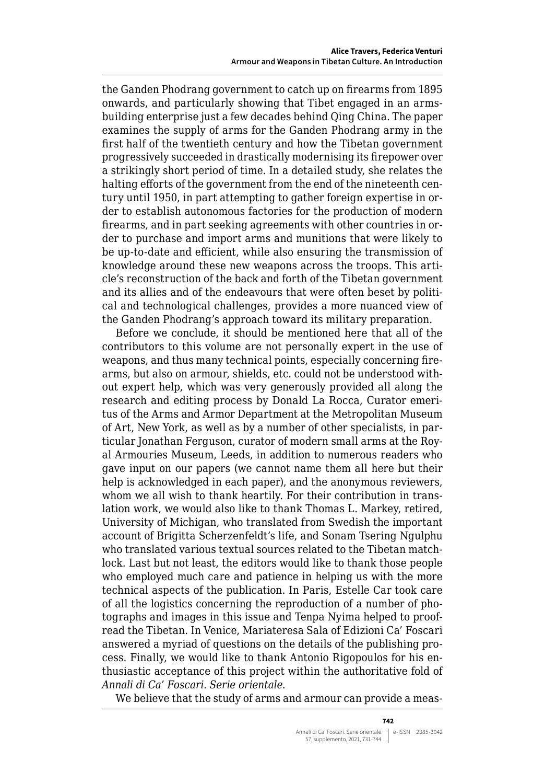the Ganden Phodrang government to catch up on firearms from 1895 onwards, and particularly showing that Tibet engaged in an armsbuilding enterprise just a few decades behind Qing China. The paper examines the supply of arms for the Ganden Phodrang army in the first half of the twentieth century and how the Tibetan government progressively succeeded in drastically modernising its firepower over a strikingly short period of time. In a detailed study, she relates the halting efforts of the government from the end of the nineteenth century until 1950, in part attempting to gather foreign expertise in order to establish autonomous factories for the production of modern firearms, and in part seeking agreements with other countries in order to purchase and import arms and munitions that were likely to be up-to-date and efficient, while also ensuring the transmission of knowledge around these new weapons across the troops. This article's reconstruction of the back and forth of the Tibetan government and its allies and of the endeavours that were often beset by political and technological challenges, provides a more nuanced view of the Ganden Phodrang's approach toward its military preparation.

Before we conclude, it should be mentioned here that all of the contributors to this volume are not personally expert in the use of weapons, and thus many technical points, especially concerning firearms, but also on armour, shields, etc. could not be understood without expert help, which was very generously provided all along the research and editing process by Donald La Rocca, Curator emeritus of the Arms and Armor Department at the Metropolitan Museum of Art, New York, as well as by a number of other specialists, in particular Jonathan Ferguson, curator of modern small arms at the Royal Armouries Museum, Leeds, in addition to numerous readers who gave input on our papers (we cannot name them all here but their help is acknowledged in each paper), and the anonymous reviewers, whom we all wish to thank heartily. For their contribution in translation work, we would also like to thank Thomas L. Markey, retired, University of Michigan, who translated from Swedish the important account of Brigitta Scherzenfeldt's life, and Sonam Tsering Ngulphu who translated various textual sources related to the Tibetan matchlock. Last but not least, the editors would like to thank those people who employed much care and patience in helping us with the more technical aspects of the publication. In Paris, Estelle Car took care of all the logistics concerning the reproduction of a number of photographs and images in this issue and Tenpa Nyima helped to proofread the Tibetan. In Venice, Mariateresa Sala of Edizioni Ca' Foscari answered a myriad of questions on the details of the publishing process. Finally, we would like to thank Antonio Rigopoulos for his enthusiastic acceptance of this project within the authoritative fold of *Annali di Ca' Foscari. Serie orientale*.

We believe that the study of arms and armour can provide a meas-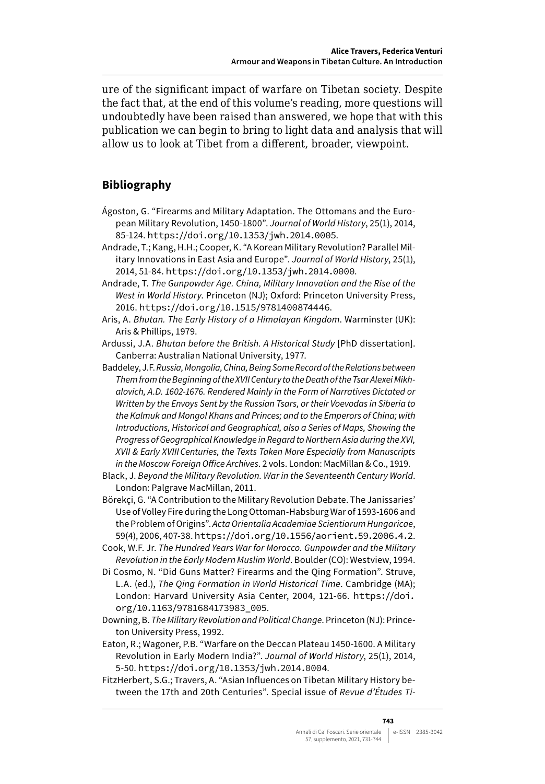ure of the significant impact of warfare on Tibetan society. Despite the fact that, at the end of this volume's reading, more questions will undoubtedly have been raised than answered, we hope that with this publication we can begin to bring to light data and analysis that will allow us to look at Tibet from a different, broader, viewpoint.

## **Bibliography**

- Ágoston, G. "Firearms and Military Adaptation. The Ottomans and the European Military Revolution, 1450-1800". *Journal of World History*, 25(1), 2014, 85-124. <https://doi.org/10.1353/jwh.2014.0005>.
- Andrade, T.; Kang, H.H.; Cooper, K. "A Korean Military Revolution? Parallel Military Innovations in East Asia and Europe". *Journal of World History*, 25(1), 2014, 51-84. <https://doi.org/10.1353/jwh.2014.0000>.
- Andrade, T. *The Gunpowder Age. China, Military Innovation and the Rise of the West in World History*. Princeton (NJ); Oxford: Princeton University Press, 2016. <https://doi.org/10.1515/9781400874446>.
- Aris, A. *Bhutan. The Early History of a Himalayan Kingdom*. Warminster (UK): Aris & Phillips, 1979.
- Ardussi, J.A. *Bhutan before the British. A Historical Study* [PhD dissertation]. Canberra: Australian National University, 1977.
- Baddeley, J.F. *Russia, Mongolia, China, Being Some Record of the Relations between Them from the Beginning of the XVII Century to the Death of the Tsar Alexei Mikhalovich, A.D. 1602-1676. Rendered Mainly in the Form of Narratives Dictated or Written by the Envoys Sent by the Russian Tsars, or their Voevodas in Siberia to the Kalmuk and Mongol Khans and Princes; and to the Emperors of China; with Introductions, Historical and Geographical, also a Series of Maps, Showing the Progress of Geographical Knowledge in Regard to Northern Asia during the XVI, XVII & Early XVIIICenturies, the Texts Taken More Especially from Manuscripts in the Moscow Foreign Office Archives*. 2 vols. London: MacMillan & Co., 1919.
- Black, J. *Beyond the Military Revolution. War in the Seventeenth Century World*. London: Palgrave MacMillan, 2011.
- Börekçi, G. "A Contribution to the Military Revolution Debate. The Janissaries' Use of Volley Fire during the Long Ottoman-Habsburg War of 1593-1606 and the Problem of Origins". *Acta Orientalia Academiae Scientiarum Hungaricae*, 59(4), 2006, 407-38. <https://doi.org/10.1556/aorient.59.2006.4.2>.
- Cook, W.F. Jr. *The Hundred Years War for Morocco. Gunpowder and the Military Revolution in the Early Modern Muslim World*. Boulder (CO): Westview, 1994.
- Di Cosmo, N. "Did Guns Matter? Firearms and the Qing Formation". Struve, L.A. (ed.), *The Qing Formation in World Historical Time*. Cambridge (MA); London: Harvard University Asia Center, 2004, 121-66. [https://doi.](https://doi.org/10.1163/9781684173983_005) [org/10.1163/9781684173983\\_005](https://doi.org/10.1163/9781684173983_005).
- Downing, B. *The Military Revolution and Political Change*. Princeton (NJ): Princeton University Press, 1992.
- Eaton, R.; Wagoner, P.B. "Warfare on the Deccan Plateau 1450-1600. A Military Revolution in Early Modern India?". *Journal of World History*, 25(1), 2014, 5-50. <https://doi.org/10.1353/jwh.2014.0004>.
- FitzHerbert, S.G.; Travers, A. "Asian Influences on Tibetan Military History between the 17th and 20th Centuries". Special issue of *Revue d'Études Ti-*